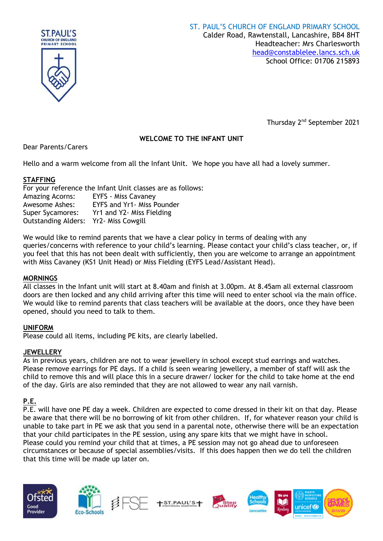

Thursday 2<sup>nd</sup> September 2021

# **WELCOME TO THE INFANT UNIT**

Dear Parents/Carers

Hello and a warm welcome from all the Infant Unit. We hope you have all had a lovely summer.

## **STAFFING**

For your reference the Infant Unit classes are as follows: Amazing Acorns: EYFS - Miss Cavaney Awesome Ashes: EYFS and Yr1- Miss Pounder Super Sycamores: Yr1 and Y2- Miss Fielding Outstanding Alders: Yr2- Miss Cowgill

We would like to remind parents that we have a clear policy in terms of dealing with any queries/concerns with reference to your child's learning. Please contact your child's class teacher, or, if you feel that this has not been dealt with sufficiently, then you are welcome to arrange an appointment with Miss Cavaney (KS1 Unit Head) or Miss Fielding (EYFS Lead/Assistant Head).

## **MORNINGS**

All classes in the Infant unit will start at 8.40am and finish at 3.00pm. At 8.45am all external classroom doors are then locked and any child arriving after this time will need to enter school via the main office. We would like to remind parents that class teachers will be available at the doors, once they have been opened, should you need to talk to them.

# **UNIFORM**

Please could all items, including PE kits, are clearly labelled.

## **JEWELLERY**

As in previous years, children are not to wear jewellery in school except stud earrings and watches. Please remove earrings for PE days. If a child is seen wearing jewellery, a member of staff will ask the child to remove this and will place this in a secure drawer/ locker for the child to take home at the end of the day. Girls are also reminded that they are not allowed to wear any nail varnish.

# **P.E.**

P.E. will have one PE day a week. Children are expected to come dressed in their kit on that day. Please be aware that there will be no borrowing of kit from other children. If, for whatever reason your child is unable to take part in PE we ask that you send in a parental note, otherwise there will be an expectation that your child participates in the PE session, using any spare kits that we might have in school. Please could you remind your child that at times, a PE session may not go ahead due to unforeseen circumstances or because of special assemblies/visits. If this does happen then we do tell the children that this time will be made up later on.